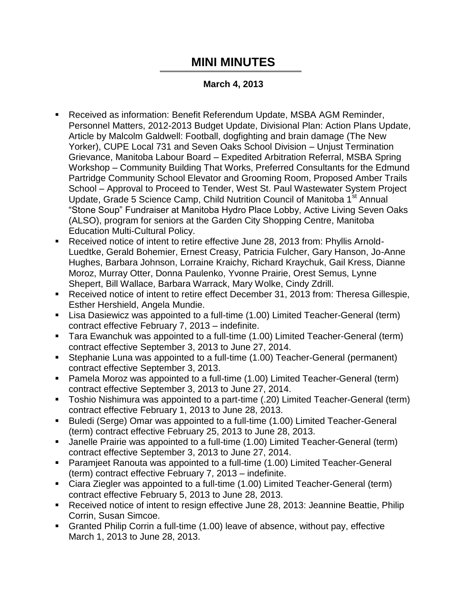## **MINI MINUTES**

## **March 4, 2013**

- Received as information: Benefit Referendum Update, MSBA AGM Reminder, Personnel Matters, 2012-2013 Budget Update, Divisional Plan: Action Plans Update, Article by Malcolm Galdwell: Football, dogfighting and brain damage (The New Yorker), CUPE Local 731 and Seven Oaks School Division – Unjust Termination Grievance, Manitoba Labour Board – Expedited Arbitration Referral, MSBA Spring Workshop – Community Building That Works, Preferred Consultants for the Edmund Partridge Community School Elevator and Grooming Room, Proposed Amber Trails School – Approval to Proceed to Tender, West St. Paul Wastewater System Project Update, Grade 5 Science Camp, Child Nutrition Council of Manitoba 1<sup>st</sup> Annual "Stone Soup" Fundraiser at Manitoba Hydro Place Lobby, Active Living Seven Oaks (ALSO), program for seniors at the Garden City Shopping Centre, Manitoba Education Multi-Cultural Policy.
- Received notice of intent to retire effective June 28, 2013 from: Phyllis Arnold-Luedtke, Gerald Bohemier, Ernest Creasy, Patricia Fulcher, Gary Hanson, Jo-Anne Hughes, Barbara Johnson, Lorraine Kraichy, Richard Kraychuk, Gail Kress, Dianne Moroz, Murray Otter, Donna Paulenko, Yvonne Prairie, Orest Semus, Lynne Shepert, Bill Wallace, Barbara Warrack, Mary Wolke, Cindy Zdrill.
- Received notice of intent to retire effect December 31, 2013 from: Theresa Gillespie, Esther Hershield, Angela Mundie.
- Lisa Dasiewicz was appointed to a full-time (1.00) Limited Teacher-General (term) contract effective February 7, 2013 – indefinite.
- Tara Ewanchuk was appointed to a full-time (1.00) Limited Teacher-General (term) contract effective September 3, 2013 to June 27, 2014.
- Stephanie Luna was appointed to a full-time (1.00) Teacher-General (permanent) contract effective September 3, 2013.
- Pamela Moroz was appointed to a full-time (1.00) Limited Teacher-General (term) contract effective September 3, 2013 to June 27, 2014.
- Toshio Nishimura was appointed to a part-time (.20) Limited Teacher-General (term) contract effective February 1, 2013 to June 28, 2013.
- Buledi (Serge) Omar was appointed to a full-time (1.00) Limited Teacher-General (term) contract effective February 25, 2013 to June 28, 2013.
- Janelle Prairie was appointed to a full-time (1.00) Limited Teacher-General (term) contract effective September 3, 2013 to June 27, 2014.
- Paramjeet Ranouta was appointed to a full-time (1.00) Limited Teacher-General (term) contract effective February 7, 2013 – indefinite.
- Ciara Ziegler was appointed to a full-time (1.00) Limited Teacher-General (term) contract effective February 5, 2013 to June 28, 2013.
- Received notice of intent to resign effective June 28, 2013: Jeannine Beattie, Philip Corrin, Susan Simcoe.
- Granted Philip Corrin a full-time (1.00) leave of absence, without pay, effective March 1, 2013 to June 28, 2013.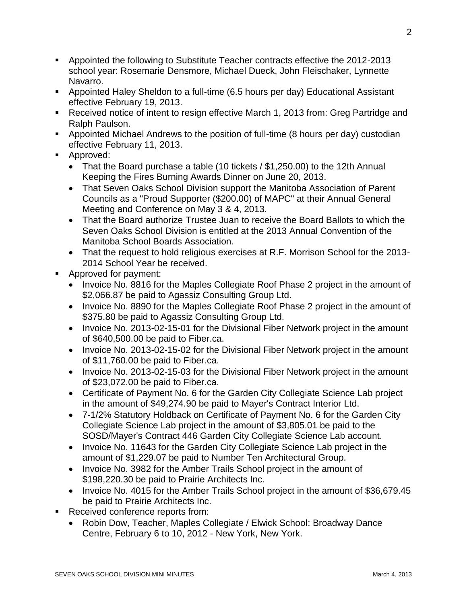- Appointed the following to Substitute Teacher contracts effective the 2012-2013 school year: Rosemarie Densmore, Michael Dueck, John Fleischaker, Lynnette Navarro.
- Appointed Haley Sheldon to a full-time (6.5 hours per day) Educational Assistant effective February 19, 2013.
- Received notice of intent to resign effective March 1, 2013 from: Greg Partridge and Ralph Paulson.
- Appointed Michael Andrews to the position of full-time (8 hours per day) custodian effective February 11, 2013.
- **Approved:** 
	- That the Board purchase a table (10 tickets / \$1,250.00) to the 12th Annual Keeping the Fires Burning Awards Dinner on June 20, 2013.
	- That Seven Oaks School Division support the Manitoba Association of Parent Councils as a "Proud Supporter (\$200.00) of MAPC" at their Annual General Meeting and Conference on May 3 & 4, 2013.
	- That the Board authorize Trustee Juan to receive the Board Ballots to which the Seven Oaks School Division is entitled at the 2013 Annual Convention of the Manitoba School Boards Association.
	- That the request to hold religious exercises at R.F. Morrison School for the 2013- 2014 School Year be received.
- Approved for payment:
	- Invoice No. 8816 for the Maples Collegiate Roof Phase 2 project in the amount of \$2,066.87 be paid to Agassiz Consulting Group Ltd.
	- Invoice No. 8890 for the Maples Collegiate Roof Phase 2 project in the amount of \$375.80 be paid to Agassiz Consulting Group Ltd.
	- Invoice No. 2013-02-15-01 for the Divisional Fiber Network project in the amount of \$640,500.00 be paid to Fiber.ca.
	- Invoice No. 2013-02-15-02 for the Divisional Fiber Network project in the amount of \$11,760.00 be paid to Fiber.ca.
	- Invoice No. 2013-02-15-03 for the Divisional Fiber Network project in the amount of \$23,072.00 be paid to Fiber.ca.
	- Certificate of Payment No. 6 for the Garden City Collegiate Science Lab project in the amount of \$49,274.90 be paid to Mayer's Contract Interior Ltd.
	- 7-1/2% Statutory Holdback on Certificate of Payment No. 6 for the Garden City Collegiate Science Lab project in the amount of \$3,805.01 be paid to the SOSD/Mayer's Contract 446 Garden City Collegiate Science Lab account.
	- Invoice No. 11643 for the Garden City Collegiate Science Lab project in the amount of \$1,229.07 be paid to Number Ten Architectural Group.
	- Invoice No. 3982 for the Amber Trails School project in the amount of \$198,220.30 be paid to Prairie Architects Inc.
	- Invoice No. 4015 for the Amber Trails School project in the amount of \$36,679.45 be paid to Prairie Architects Inc.
- Received conference reports from:
	- Robin Dow, Teacher, Maples Collegiate / Elwick School: Broadway Dance Centre, February 6 to 10, 2012 - New York, New York.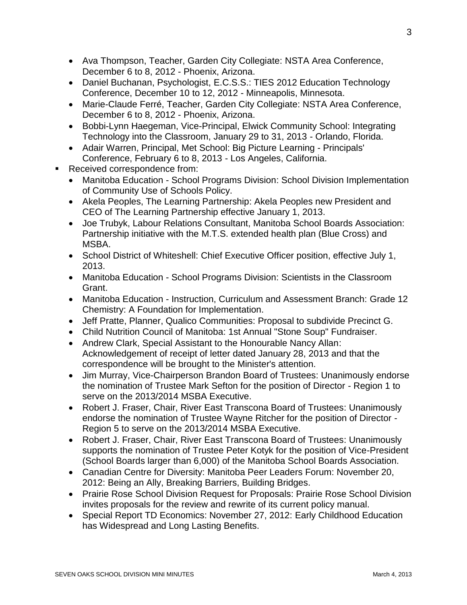- Ava Thompson, Teacher, Garden City Collegiate: NSTA Area Conference, December 6 to 8, 2012 - Phoenix, Arizona.
- Daniel Buchanan, Psychologist, E.C.S.S.: TIES 2012 Education Technology Conference, December 10 to 12, 2012 - Minneapolis, Minnesota.
- Marie-Claude Ferré, Teacher, Garden City Collegiate: NSTA Area Conference, December 6 to 8, 2012 - Phoenix, Arizona.
- Bobbi-Lynn Haegeman, Vice-Principal, Elwick Community School: Integrating Technology into the Classroom, January 29 to 31, 2013 - Orlando, Florida.
- Adair Warren, Principal, Met School: Big Picture Learning Principals' Conference, February 6 to 8, 2013 - Los Angeles, California.
- Received correspondence from:
	- Manitoba Education School Programs Division: School Division Implementation of Community Use of Schools Policy.
	- Akela Peoples, The Learning Partnership: Akela Peoples new President and CEO of The Learning Partnership effective January 1, 2013.
	- Joe Trubyk, Labour Relations Consultant, Manitoba School Boards Association: Partnership initiative with the M.T.S. extended health plan (Blue Cross) and MSBA.
	- School District of Whiteshell: Chief Executive Officer position, effective July 1, 2013.
	- Manitoba Education School Programs Division: Scientists in the Classroom Grant.
	- Manitoba Education Instruction, Curriculum and Assessment Branch: Grade 12 Chemistry: A Foundation for Implementation.
	- Jeff Pratte, Planner, Qualico Communities: Proposal to subdivide Precinct G.
	- Child Nutrition Council of Manitoba: 1st Annual "Stone Soup" Fundraiser.
	- Andrew Clark, Special Assistant to the Honourable Nancy Allan: Acknowledgement of receipt of letter dated January 28, 2013 and that the correspondence will be brought to the Minister's attention.
	- Jim Murray, Vice-Chairperson Brandon Board of Trustees: Unanimously endorse the nomination of Trustee Mark Sefton for the position of Director - Region 1 to serve on the 2013/2014 MSBA Executive.
	- Robert J. Fraser, Chair, River East Transcona Board of Trustees: Unanimously endorse the nomination of Trustee Wayne Ritcher for the position of Director - Region 5 to serve on the 2013/2014 MSBA Executive.
	- Robert J. Fraser, Chair, River East Transcona Board of Trustees: Unanimously supports the nomination of Trustee Peter Kotyk for the position of Vice-President (School Boards larger than 6,000) of the Manitoba School Boards Association.
	- Canadian Centre for Diversity: Manitoba Peer Leaders Forum: November 20, 2012: Being an Ally, Breaking Barriers, Building Bridges.
	- Prairie Rose School Division Request for Proposals: Prairie Rose School Division invites proposals for the review and rewrite of its current policy manual.
	- Special Report TD Economics: November 27, 2012: Early Childhood Education has Widespread and Long Lasting Benefits.